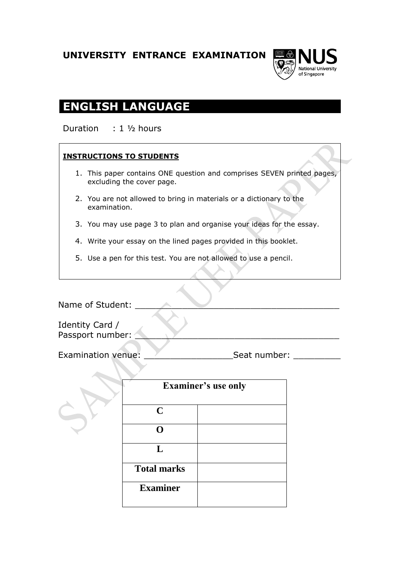**UNIVERSITY ENTRANCE EXAMINATION**



# **ENGLISH LANGUAGE**

Duration : 1 1/2 hours

#### **INSTRUCTIONS TO STUDENTS**

- 1. This paper contains ONE question and comprises SEVEN printed pages, excluding the cover page.
- 2. You are not allowed to bring in materials or a dictionary to the examination.
- 3. You may use page 3 to plan and organise your ideas for the essay.
- 4. Write your essay on the lined pages provided in this booklet.
- 5. Use a pen for this test. You are not allowed to use a pencil.

Name of Student:

 Identity Card / Passport number:

|                    | <b>Examiner's use only</b> |
|--------------------|----------------------------|
| $\mathbf C$        |                            |
|                    |                            |
| L                  |                            |
| <b>Total marks</b> |                            |
| <b>Examiner</b>    |                            |
|                    |                            |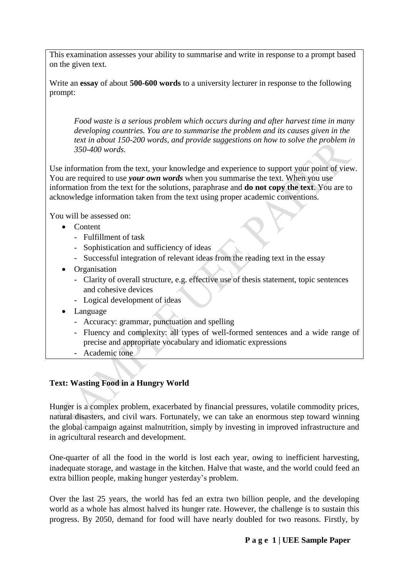This examination assesses your ability to summarise and write in response to a prompt based on the given text.

Write an **essay** of about **500-600 words** to a university lecturer in response to the following prompt:

*Food waste is a serious problem which occurs during and after harvest time in many developing countries. You are to summarise the problem and its causes given in the text in about 150-200 words, and provide suggestions on how to solve the problem in 350-400 words.*

Use information from the text, your knowledge and experience to support your point of view. You are required to use *your own words* when you summarise the text. When you use information from the text for the solutions, paraphrase and **do not copy the text**. You are to acknowledge information taken from the text using proper academic conventions.

You will be assessed on:

- Content
	- Fulfillment of task
	- Sophistication and sufficiency of ideas
	- Successful integration of relevant ideas from the reading text in the essay
- Organisation
	- Clarity of overall structure, e.g. effective use of thesis statement, topic sentences and cohesive devices
	- Logical development of ideas
- Language
	- Accuracy: grammar, punctuation and spelling
	- Fluency and complexity: all types of well-formed sentences and a wide range of precise and appropriate vocabulary and idiomatic expressions
	- Academic tone

#### **Text: Wasting Food in a Hungry World**

Hunger is a complex problem, exacerbated by financial pressures, volatile commodity prices, natural disasters, and civil wars. Fortunately, we can take an enormous step toward winning the global campaign against malnutrition, simply by investing in improved infrastructure and in agricultural research and development.

One-quarter of all the food in the world is lost each year, owing to inefficient harvesting, inadequate storage, and wastage in the kitchen. Halve that waste, and the world could feed an extra billion people, making hunger yesterday's problem.

Over the last 25 years, the world has fed an extra two billion people, and the developing world as a whole has almost halved its hunger rate. However, the challenge is to sustain this progress. By 2050, demand for food will have nearly doubled for two reasons. Firstly, by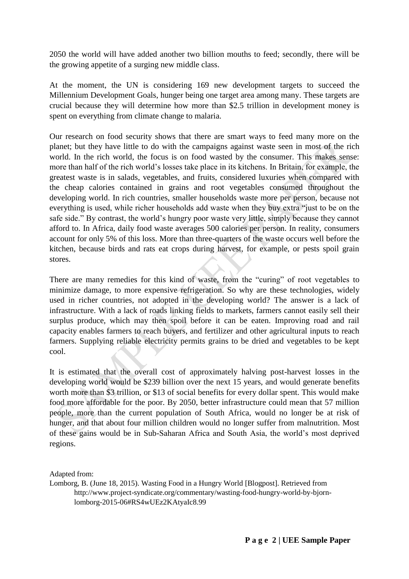2050 the world will have added another two billion mouths to feed; secondly, there will be the growing appetite of a surging new middle class.

At the moment, the UN is considering 169 new development targets to succeed the Millennium Development Goals, hunger being one target area among many. These targets are crucial because they will determine how more than \$2.5 trillion in development money is spent on everything from climate change to malaria.

Our research on food security shows that there are smart ways to feed many more on the planet; but they have little to do with the campaigns against waste seen in most of the rich world. In the rich world, the focus is on food wasted by the consumer. This makes sense: more than half of the rich world's losses take place in its kitchens. In Britain, for example, the greatest waste is in salads, vegetables, and fruits, considered luxuries when compared with the cheap calories contained in grains and root vegetables consumed throughout the developing world. In rich countries, smaller households waste more per person, because not everything is used, while richer households add waste when they buy extra "just to be on the safe side." By contrast, the world's hungry poor waste very little, simply because they cannot afford to. In Africa, daily food waste averages 500 calories per person. In reality, consumers account for only 5% of this loss. More than three-quarters of the waste occurs well before the kitchen, because birds and rats eat crops during harvest, for example, or pests spoil grain stores.

There are many remedies for this kind of waste, from the "curing" of root vegetables to minimize damage, to more expensive refrigeration. So why are these technologies, widely used in richer countries, not adopted in the developing world? The answer is a lack of infrastructure. With a lack of roads linking fields to markets, farmers cannot easily sell their surplus produce, which may then spoil before it can be eaten. Improving road and rail capacity enables farmers to reach buyers, and fertilizer and other agricultural inputs to reach farmers. Supplying reliable electricity permits grains to be dried and vegetables to be kept cool.

It is estimated that the overall cost of approximately halving post-harvest losses in the developing world would be \$239 billion over the next 15 years, and would generate benefits worth more than \$3 trillion, or \$13 of social benefits for every dollar spent. This would make food more affordable for the poor. By 2050, better infrastructure could mean that 57 million people, more than the current population of South Africa, would no longer be at risk of hunger, and that about four million children would no longer suffer from malnutrition. Most of these gains would be in Sub-Saharan Africa and South Asia, the world's most deprived regions.

Adapted from:

Lomborg, B. (June 18, 2015). Wasting Food in a Hungry World [Blogpost]. Retrieved from http://www.project-syndicate.org/commentary/wasting-food-hungry-world-by-bjornlomborg-2015-06#RS4wUEz2KAtyaIc8.99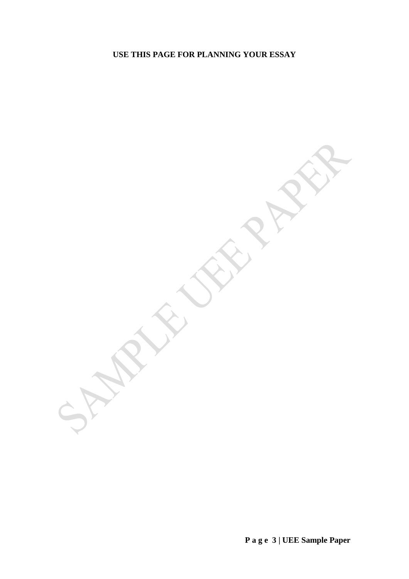### **USE THIS PAGE FOR PLANNING YOUR ESSAY**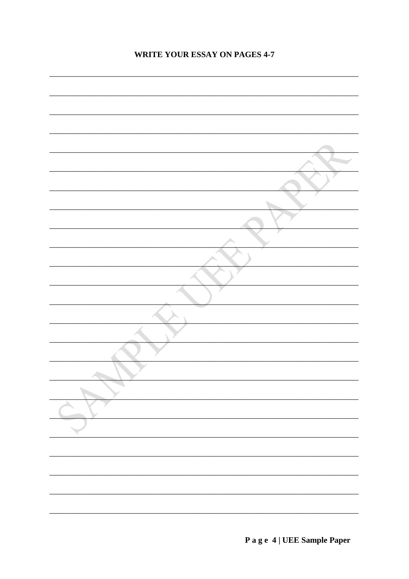## **WRITE YOUR ESSAY ON PAGES 4-7**

Page 4 | UEE Sample Paper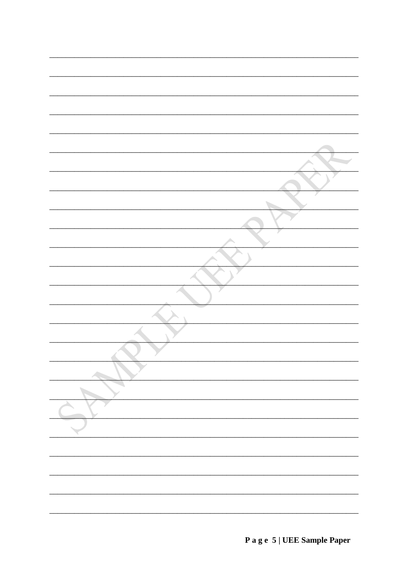Page 5 | UEE Sample Paper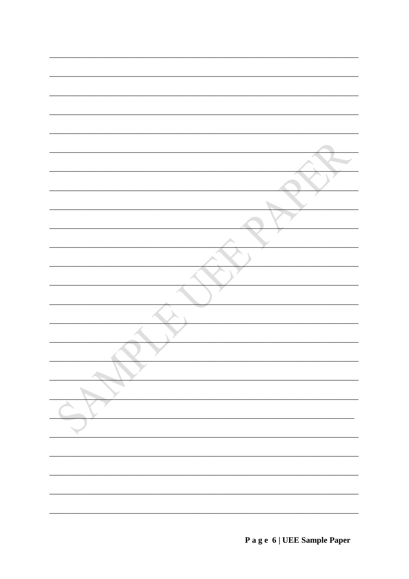Page 6 | UEE Sample Paper